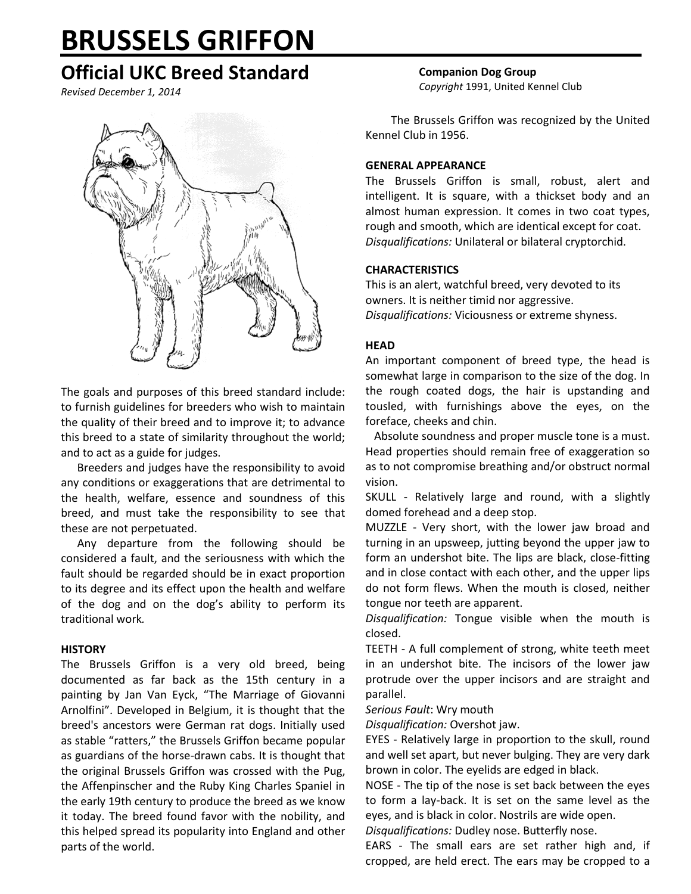# **BRUSSELS GRIFFON**

# **Official UKC Breed Standard**

*Revised December 1, 2014*



The goals and purposes of this breed standard include: to furnish guidelines for breeders who wish to maintain the quality of their breed and to improve it; to advance this breed to a state of similarity throughout the world; and to act as a guide for judges.

Breeders and judges have the responsibility to avoid any conditions or exaggerations that are detrimental to the health, welfare, essence and soundness of this breed, and must take the responsibility to see that these are not perpetuated.

Any departure from the following should be considered a fault, and the seriousness with which the fault should be regarded should be in exact proportion to its degree and its effect upon the health and welfare of the dog and on the dog's ability to perform its traditional work*.*

#### **HISTORY**

The Brussels Griffon is a very old breed, being documented as far back as the 15th century in a painting by Jan Van Eyck, "The Marriage of Giovanni Arnolfini". Developed in Belgium, it is thought that the breed's ancestors were German rat dogs. Initially used as stable "ratters," the Brussels Griffon became popular as guardians of the horse-drawn cabs. It is thought that the original Brussels Griffon was crossed with the Pug, the Affenpinscher and the Ruby King Charles Spaniel in the early 19th century to produce the breed as we know it today. The breed found favor with the nobility, and this helped spread its popularity into England and other parts of the world.

**Companion Dog Group** *Copyright* 1991, United Kennel Club

The Brussels Griffon was recognized by the United Kennel Club in 1956.

# **GENERAL APPEARANCE**

The Brussels Griffon is small, robust, alert and intelligent. It is square, with a thickset body and an almost human expression. It comes in two coat types, rough and smooth, which are identical except for coat. *Disqualifications:* Unilateral or bilateral cryptorchid.

# **CHARACTERISTICS**

This is an alert, watchful breed, very devoted to its owners. It is neither timid nor aggressive. *Disqualifications:* Viciousness or extreme shyness.

# **HEAD**

An important component of breed type, the head is somewhat large in comparison to the size of the dog. In the rough coated dogs, the hair is upstanding and tousled, with furnishings above the eyes, on the foreface, cheeks and chin.

 Absolute soundness and proper muscle tone is a must. Head properties should remain free of exaggeration so as to not compromise breathing and/or obstruct normal vision.

SKULL - Relatively large and round, with a slightly domed forehead and a deep stop.

MUZZLE - Very short, with the lower jaw broad and turning in an upsweep, jutting beyond the upper jaw to form an undershot bite. The lips are black, close-fitting and in close contact with each other, and the upper lips do not form flews. When the mouth is closed, neither tongue nor teeth are apparent.

*Disqualification:* Tongue visible when the mouth is closed.

TEETH - A full complement of strong, white teeth meet in an undershot bite. The incisors of the lower jaw protrude over the upper incisors and are straight and parallel.

#### *Serious Fault*: Wry mouth

*Disqualification:* Overshot jaw.

EYES - Relatively large in proportion to the skull, round and well set apart, but never bulging. They are very dark brown in color. The eyelids are edged in black.

NOSE - The tip of the nose is set back between the eyes to form a lay-back. It is set on the same level as the eyes, and is black in color. Nostrils are wide open.

*Disqualifications:* Dudley nose. Butterfly nose.

EARS - The small ears are set rather high and, if cropped, are held erect. The ears may be cropped to a